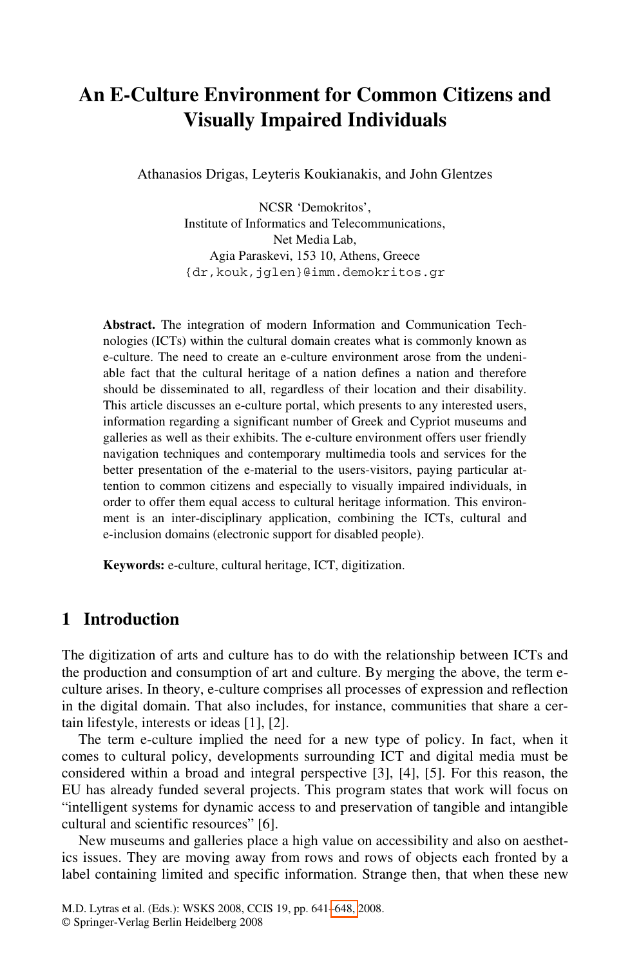# **An E-Culture Environment for Common Citizens and Visually Impaired Individuals**

Athanasios Drigas, Leyteris Koukianakis, and John Glentzes

NCSR 'Demokritos', Institute of Informatics and Telecommunications, Net Media Lab, Agia Paraskevi, 153 10, Athens, Greece {dr,kouk,jglen}@imm.demokritos.gr

**Abstract.** The integration of modern Information and Communication Technologies (ICTs) within the cultural domain creates what is commonly known as e-culture. The need to create an e-culture environment arose from the undeniable fact that the cultural heritage of a nation defines a nation and therefore should be disseminated to all, regardless of their location and their disability. This article discusses an e-culture portal, which presents to any interested users, information regarding a significant number of Greek and Cypriot museums and galleries as well as their exhibits. The e-culture environment offers user friendly navigation techniques and contemporary multimedia tools and services for the better presentation of the e-material to the users-visitors, paying particular attention to common citizens and especially to visually impaired individuals, in order to offer them equal access to cultural heritage information. This environment is an inter-disciplinary application, combining the ICTs, cultural and e-inclusion domains (electronic support for disabled people).

**Keywords:** e-culture, cultural heritage, ICT, digitization.

#### **1 Introduction**

The digitization of arts and culture has to do with the relationship between ICTs and the production and consumption of art and culture. By merging the above, the term eculture arises. In theory, e-culture comprises all processes of expression and reflection in the digital domain. That also includes, for instance, communities that share a certain lifestyle, interests or ideas [1], [2].

The term e-culture implied the need for a new type of policy. In fact, when it comes to cultural policy, developments surrounding ICT and digital media must be considered within a bro[ad an](#page-7-0)d integral perspective [3], [4], [5]. For this reason, the EU has already funded several projects. This program states that work will focus on "intelligent systems for dynamic access to and preservation of tangible and intangible cultural and scientific resources" [6].

New museums and galleries place a high value on accessibility and also on aesthetics issues. They are moving away from rows and rows of objects each fronted by a label containing limited and specific information. Strange then, that when these new

M.D. Lytras et al. (Eds.): WSKS 2008, CCIS 19, pp. 641–648, 2008.

<sup>©</sup> Springer-Verlag Berlin Heidelberg 2008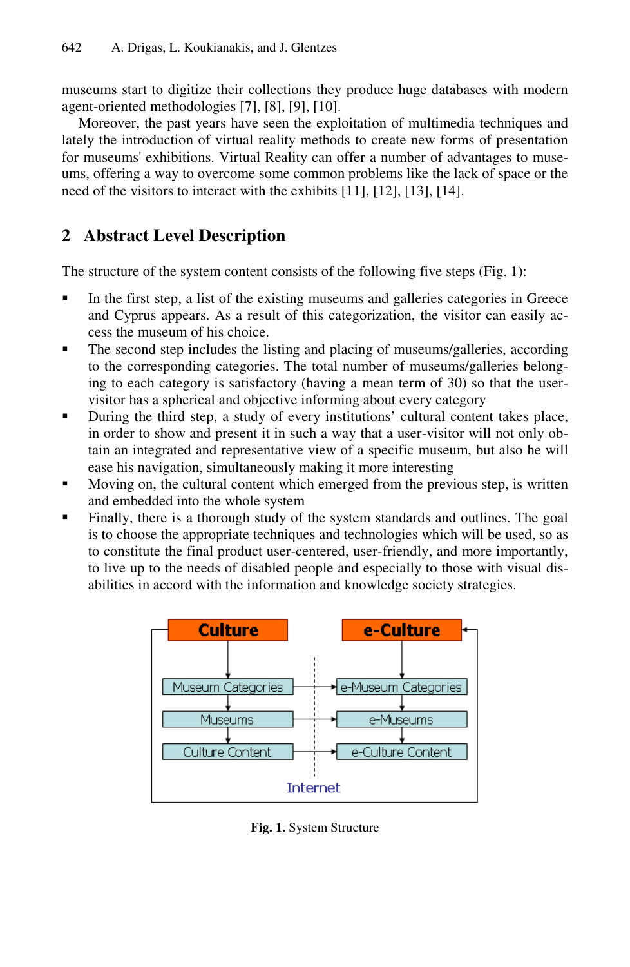museums start to digitize their collections they produce huge databases with modern agent-oriented methodologies [7], [8], [9], [10].

Moreover, the past years have seen the exploitation of multimedia techniques and lately the introduction of virtual reality methods to create new forms of presentation for museums' exhibitions. Virtual Reality can offer a number of advantages to museums, offering a way to overcome some common problems like the lack of space or the need of the visitors to interact with the exhibits [11], [12], [13], [14].

### **2 Abstract Level Description**

The structure of the system content consists of the following five steps (Fig. 1):

- In the first step, a list of the existing museums and galleries categories in Greece and Cyprus appears. As a result of this categorization, the visitor can easily access the museum of his choice.
- The second step includes the listing and placing of museums/galleries, according to the corresponding categories. The total number of museums/galleries belonging to each category is satisfactory (having a mean term of 30) so that the uservisitor has a spherical and objective informing about every category
- During the third step, a study of every institutions' cultural content takes place, in order to show and present it in such a way that a user-visitor will not only obtain an integrated and representative view of a specific museum, but also he will ease his navigation, simultaneously making it more interesting
- Moving on, the cultural content which emerged from the previous step, is written and embedded into the whole system
- Finally, there is a thorough study of the system standards and outlines. The goal is to choose the appropriate techniques and technologies which will be used, so as to constitute the final product user-centered, user-friendly, and more importantly, to live up to the needs of disabled people and especially to those with visual disabilities in accord with the information and knowledge society strategies.



**Fig. 1.** System Structure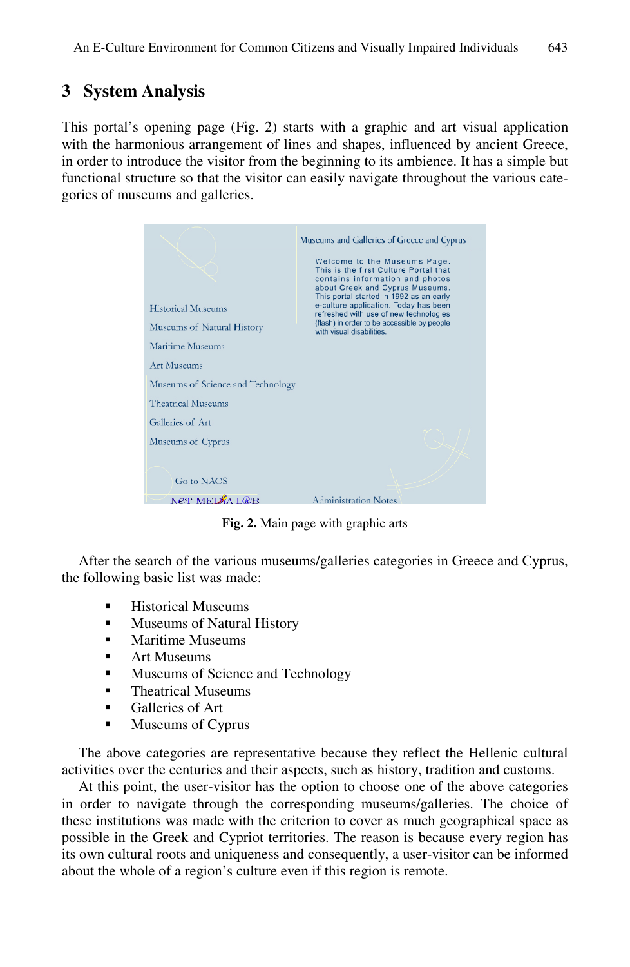#### **3 System Analysis**

This portal's opening page (Fig. 2) starts with a graphic and art visual application with the harmonious arrangement of lines and shapes, influenced by ancient Greece, in order to introduce the visitor from the beginning to its ambience. It has a simple but functional structure so that the visitor can easily navigate throughout the various categories of museums and galleries.

|                                                         | Museums and Galleries of Greece and Cyprus                                                                                                                                                                                                                                                                                                            |
|---------------------------------------------------------|-------------------------------------------------------------------------------------------------------------------------------------------------------------------------------------------------------------------------------------------------------------------------------------------------------------------------------------------------------|
| <b>Historical Museums</b><br>Museums of Natural History | Welcome to the Museums Page.<br>This is the first Culture Portal that<br>contains information and photos<br>about Greek and Cyprus Museums.<br>This portal started in 1992 as an early<br>e-culture application. Today has been<br>refreshed with use of new technologies<br>(flash) in order to be accessible by people<br>with visual disabilities. |
| Maritime Museums                                        |                                                                                                                                                                                                                                                                                                                                                       |
| Art Museums                                             |                                                                                                                                                                                                                                                                                                                                                       |
| Museums of Science and Technology                       |                                                                                                                                                                                                                                                                                                                                                       |
| <b>Theatrical Museums</b>                               |                                                                                                                                                                                                                                                                                                                                                       |
| Galleries of Art                                        |                                                                                                                                                                                                                                                                                                                                                       |
| Museums of Cyprus                                       |                                                                                                                                                                                                                                                                                                                                                       |
| <b>Go to NAOS</b><br>NET MEDIA LOR                      | <b>Administration Notes</b>                                                                                                                                                                                                                                                                                                                           |
|                                                         |                                                                                                                                                                                                                                                                                                                                                       |

**Fig. 2.** Main page with graphic arts

After the search of the various museums/galleries categories in Greece and Cyprus, the following basic list was made:

- Historical Museums
- **Museums of Natural History**
- Maritime Museums
- Art Museums
- Museums of Science and Technology
- Theatrical Museums
- Galleries of Art
- **Museums of Cyprus**

The above categories are representative because they reflect the Hellenic cultural activities over the centuries and their aspects, such as history, tradition and customs.

At this point, the user-visitor has the option to choose one of the above categories in order to navigate through the corresponding museums/galleries. The choice of these institutions was made with the criterion to cover as much geographical space as possible in the Greek and Cypriot territories. The reason is because every region has its own cultural roots and uniqueness and consequently, a user-visitor can be informed about the whole of a region's culture even if this region is remote.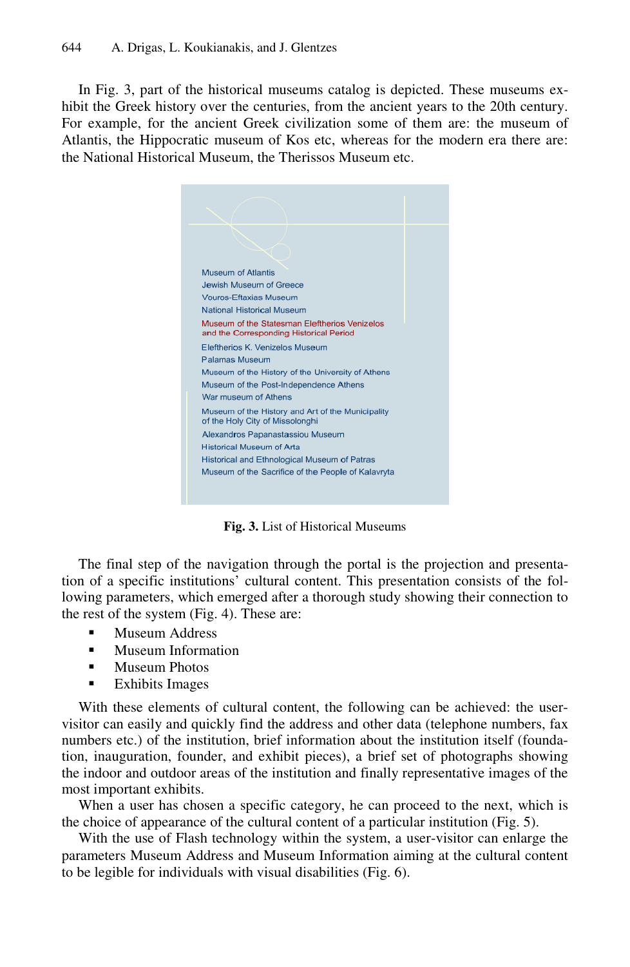In Fig. 3, part of the historical museums catalog is depicted. These museums exhibit the Greek history over the centuries, from the ancient years to the 20th century. For example, for the ancient Greek civilization some of them are: the museum of Atlantis, the Hippocratic museum of Kos etc, whereas for the modern era there are: the National Historical Museum, the Therissos Museum etc.



**Fig. 3.** List of Historical Museums

The final step of the navigation through the portal is the projection and presentation of a specific institutions' cultural content. This presentation consists of the following parameters, which emerged after a thorough study showing their connection to the rest of the system (Fig. 4). These are:

- Museum Address
- **Museum Information**
- **Museum Photos**
- Exhibits Images

With these elements of cultural content, the following can be achieved: the uservisitor can easily and quickly find the address and other data (telephone numbers, fax numbers etc.) of the institution, brief information about the institution itself (foundation, inauguration, founder, and exhibit pieces), a brief set of photographs showing the indoor and outdoor areas of the institution and finally representative images of the most important exhibits.

When a user has chosen a specific category, he can proceed to the next, which is the choice of appearance of the cultural content of a particular institution (Fig. 5).

With the use of Flash technology within the system, a user-visitor can enlarge the parameters Museum Address and Museum Information aiming at the cultural content to be legible for individuals with visual disabilities (Fig. 6).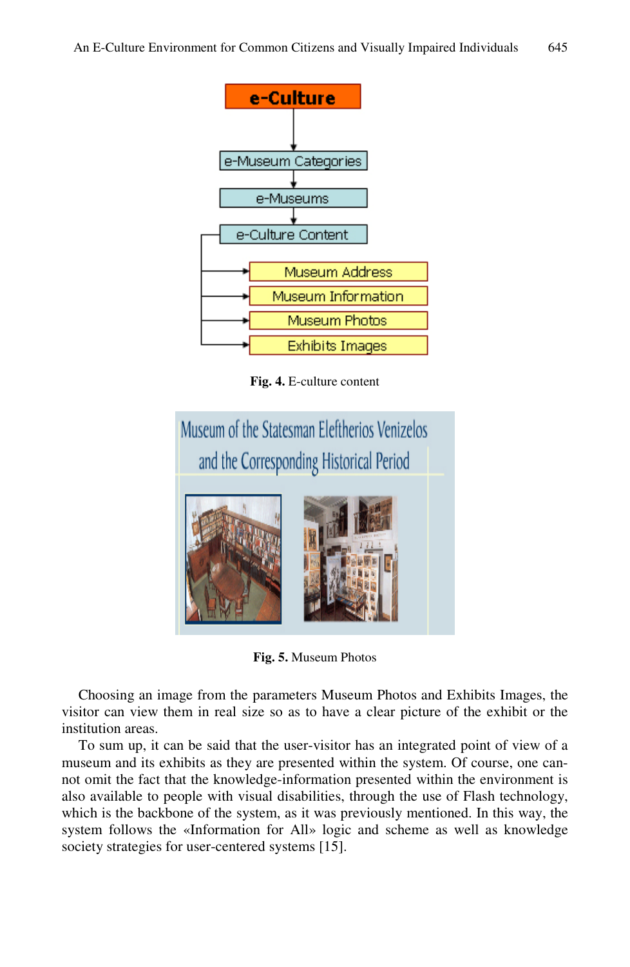

**Fig. 4.** E-culture content



**Fig. 5.** Museum Photos

Choosing an image from the parameters Museum Photos and Exhibits Images, the visitor can view them in real size so as to have a clear picture of the exhibit or the institution areas.

To sum up, it can be said that the user-visitor has an integrated point of view of a museum and its exhibits as they are presented within the system. Of course, one cannot omit the fact that the knowledge-information presented within the environment is also available to people with visual disabilities, through the use of Flash technology, which is the backbone of the system, as it was previously mentioned. In this way, the system follows the «Information for All» logic and scheme as well as knowledge society strategies for user-centered systems [15].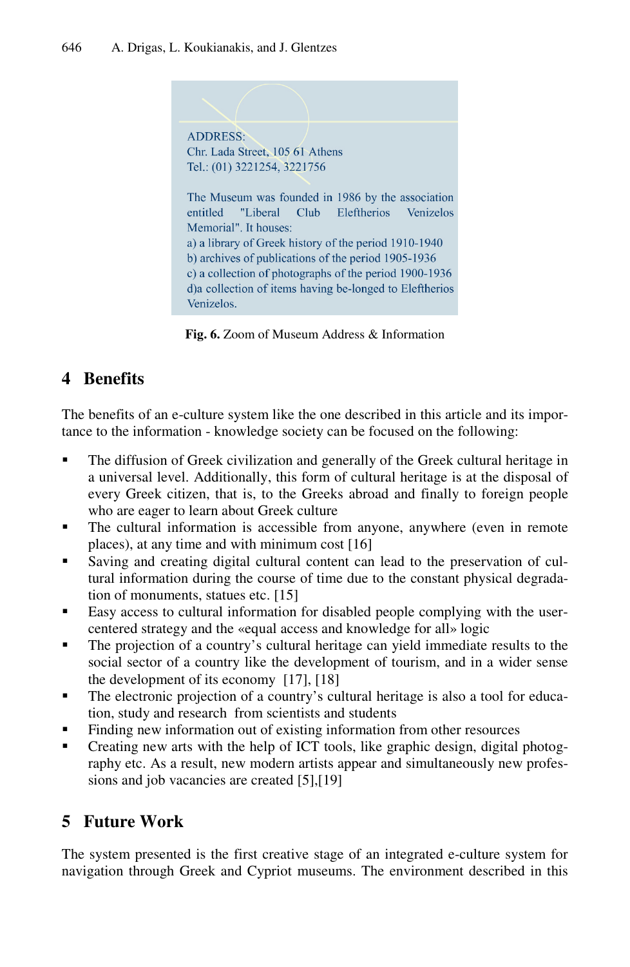**ADDRESS:** Chr. Lada Street, 105 61 Athens Tel.: (01) 3221254, 3221756

The Museum was founded in 1986 by the association Venizelos entitled "Liberal Club Eleftherios Memorial". It houses: a) a library of Greek history of the period 1910-1940 b) archives of publications of the period 1905-1936 c) a collection of photographs of the period 1900-1936 d) a collection of items having be-longed to Eleftherios Venizelos.

**Fig. 6.** Zoom of Museum Address & Information

# **4 Benefits**

The benefits of an e-culture system like the one described in this article and its importance to the information - knowledge society can be focused on the following:

- The diffusion of Greek civilization and generally of the Greek cultural heritage in a universal level. Additionally, this form of cultural heritage is at the disposal of every Greek citizen, that is, to the Greeks abroad and finally to foreign people who are eager to learn about Greek culture
- The cultural information is accessible from anyone, anywhere (even in remote places), at any time and with minimum cost [16]
- Saving and creating digital cultural content can lead to the preservation of cultural information during the course of time due to the constant physical degradation of monuments, statues etc. [15]
- Easy access to cultural information for disabled people complying with the usercentered strategy and the «equal access and knowledge for all» logic
- The projection of a country's cultural heritage can yield immediate results to the social sector of a country like the development of tourism, and in a wider sense the development of its economy [17], [18]
- The electronic projection of a country's cultural heritage is also a tool for education, study and research from scientists and students
- Finding new information out of existing information from other resources
- Creating new arts with the help of ICT tools, like graphic design, digital photography etc. As a result, new modern artists appear and simultaneously new professions and job vacancies are created [5],[19]

# **5 Future Work**

The system presented is the first creative stage of an integrated e-culture system for navigation through Greek and Cypriot museums. The environment described in this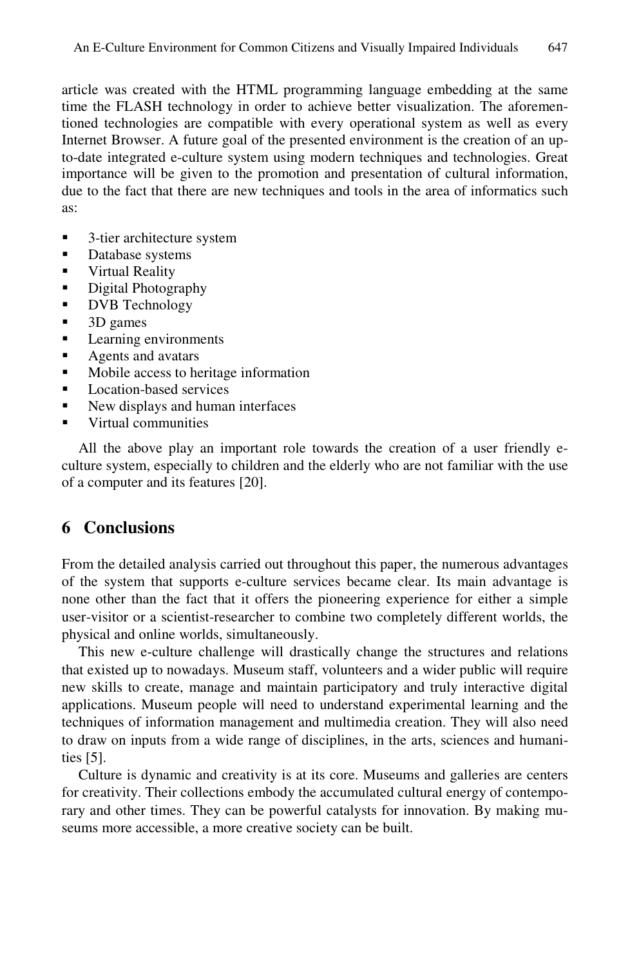article was created with the HTML programming language embedding at the same time the FLASH technology in order to achieve better visualization. The aforementioned technologies are compatible with every operational system as well as every Internet Browser. A future goal of the presented environment is the creation of an upto-date integrated e-culture system using modern techniques and technologies. Great importance will be given to the promotion and presentation of cultural information, due to the fact that there are new techniques and tools in the area of informatics such as:

- 3-tier architecture system
- Database systems
- **Virtual Reality**
- Digital Photography
- **DVB** Technology
- 3D games
- Learning environments
- **Agents and avatars**
- Mobile access to heritage information
- **Location-based services**
- New displays and human interfaces
- Virtual communities

All the above play an important role towards the creation of a user friendly eculture system, especially to children and the elderly who are not familiar with the use of a computer and its features [20].

### **6 Conclusions**

From the detailed analysis carried out throughout this paper, the numerous advantages of the system that supports e-culture services became clear. Its main advantage is none other than the fact that it offers the pioneering experience for either a simple user-visitor or a scientist-researcher to combine two completely different worlds, the physical and online worlds, simultaneously.

This new e-culture challenge will drastically change the structures and relations that existed up to nowadays. Museum staff, volunteers and a wider public will require new skills to create, manage and maintain participatory and truly interactive digital applications. Museum people will need to understand experimental learning and the techniques of information management and multimedia creation. They will also need to draw on inputs from a wide range of disciplines, in the arts, sciences and humanities [5].

Culture is dynamic and creativity is at its core. Museums and galleries are centers for creativity. Their collections embody the accumulated cultural energy of contemporary and other times. They can be powerful catalysts for innovation. By making museums more accessible, a more creative society can be built.